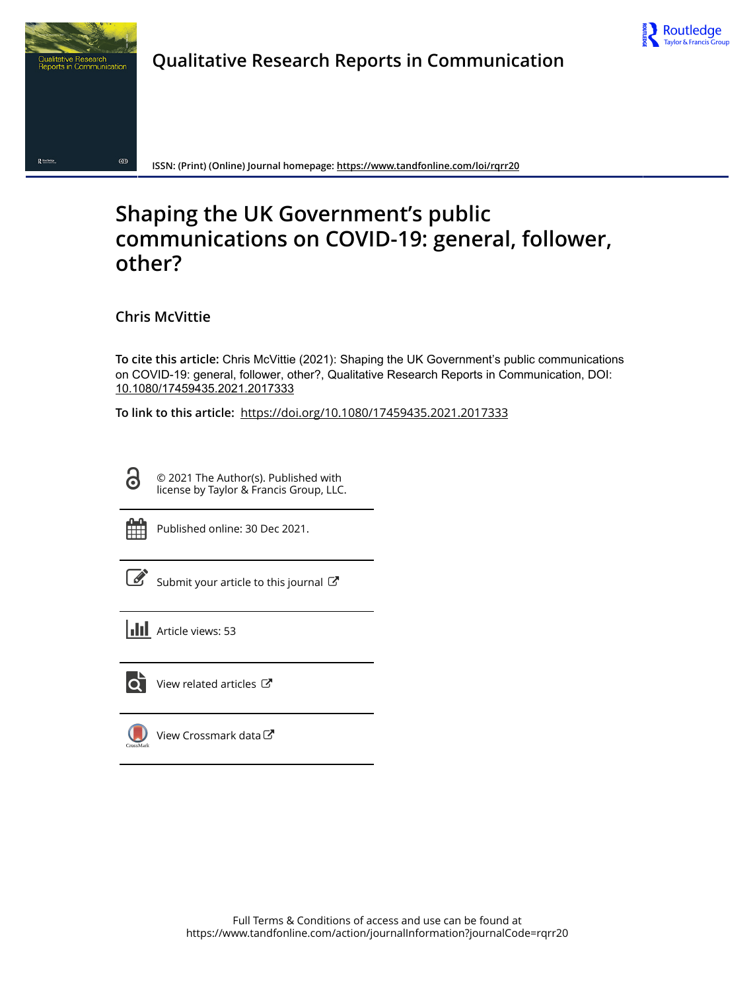

# **Qualitative Research Reports in Communication**



**ISSN: (Print) (Online) Journal homepage:<https://www.tandfonline.com/loi/rqrr20>**

# **Shaping the UK Government's public communications on COVID-19: general, follower, other?**

**Chris McVittie**

**To cite this article:** Chris McVittie (2021): Shaping the UK Government's public communications on COVID-19: general, follower, other?, Qualitative Research Reports in Communication, DOI: [10.1080/17459435.2021.2017333](https://www.tandfonline.com/action/showCitFormats?doi=10.1080/17459435.2021.2017333)

**To link to this article:** <https://doi.org/10.1080/17459435.2021.2017333>

© 2021 The Author(s). Published with license by Taylor & Francis Group, LLC.

G

Published online: 30 Dec 2021.

[Submit your article to this journal](https://www.tandfonline.com/action/authorSubmission?journalCode=rqrr20&show=instructions)  $\mathbb{Z}$ 

**III** Article views: 53



 $\overrightarrow{Q}$  [View related articles](https://www.tandfonline.com/doi/mlt/10.1080/17459435.2021.2017333)  $\overrightarrow{C}$ 

[View Crossmark data](http://crossmark.crossref.org/dialog/?doi=10.1080/17459435.2021.2017333&domain=pdf&date_stamp=2021-12-30) $\mathbb{Z}$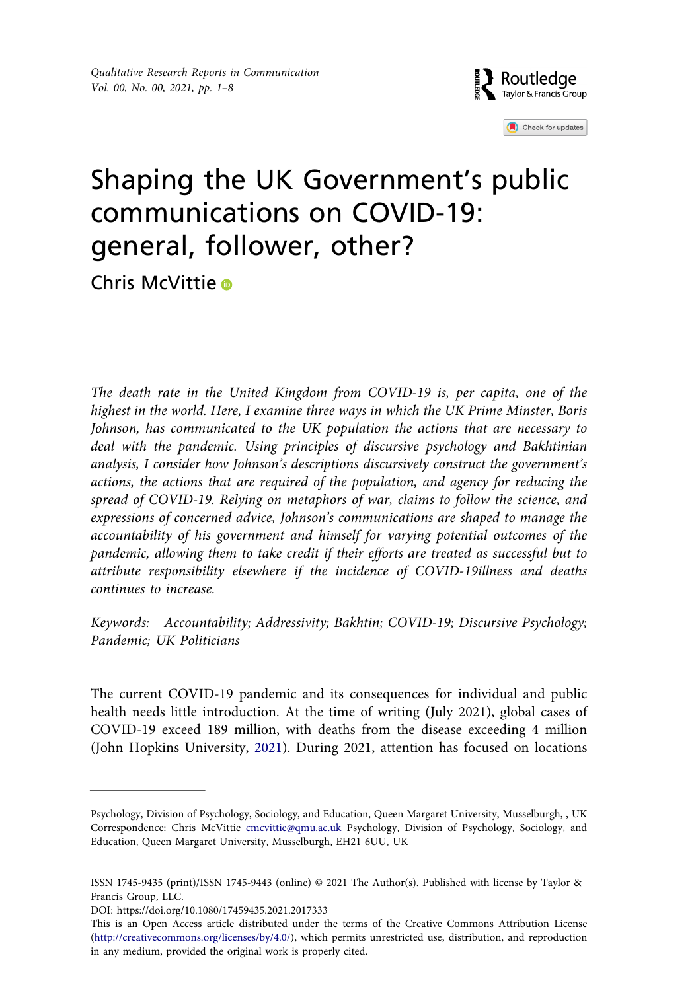

Check for updates

# Shaping the UK Government's public communications on COVID-19: general, follower, other?

Chris McVitti[e](http://orcid.org/0000-0003-0657-7524)

*The death rate in the United Kingdom from COVID-19 is, per capita, one of the highest in the world. Here, I examine three ways in which the UK Prime Minster, Boris Johnson, has communicated to the UK population the actions that are necessary to deal with the pandemic. Using principles of discursive psychology and Bakhtinian analysis, I consider how Johnson's descriptions discursively construct the government's actions, the actions that are required of the population, and agency for reducing the spread of COVID-19. Relying on metaphors of war, claims to follow the science, and expressions of concerned advice, Johnson's communications are shaped to manage the accountability of his government and himself for varying potential outcomes of the pandemic, allowing them to take credit if their efforts are treated as successful but to attribute responsibility elsewhere if the incidence of COVID-19illness and deaths continues to increase.*

*Keywords: Accountability; Addressivity; Bakhtin; COVID-19; Discursive Psychology; Pandemic; UK Politicians*

<span id="page-1-0"></span>The current COVID-19 pandemic and its consequences for individual and public health needs little introduction. At the time of writing (July 2021), global cases of COVID-19 exceed 189 million, with deaths from the disease exceeding 4 million (John Hopkins University, [2021\)](#page-7-0). During 2021, attention has focused on locations

Psychology, Division of Psychology, Sociology, and Education, Queen Margaret University, Musselburgh, , UK Correspondence: Chris McVittie cmcvittie@qmu.ac.uk Psychology, Division of Psychology, Sociology, and Education, Queen Margaret University, Musselburgh, EH21 6UU, UK

ISSN 1745-9435 (print)/ISSN 1745-9443 (online) © 2021 The Author(s). Published with license by Taylor & Francis Group, LLC.

DOI: https://doi.org/10.1080/17459435.2021.2017333

This is an Open Access article distributed under the terms of the Creative Commons Attribution License (http://creativecommons.org/licenses/by/4.0/), which permits unrestricted use, distribution, and reproduction in any medium, provided the original work is properly cited.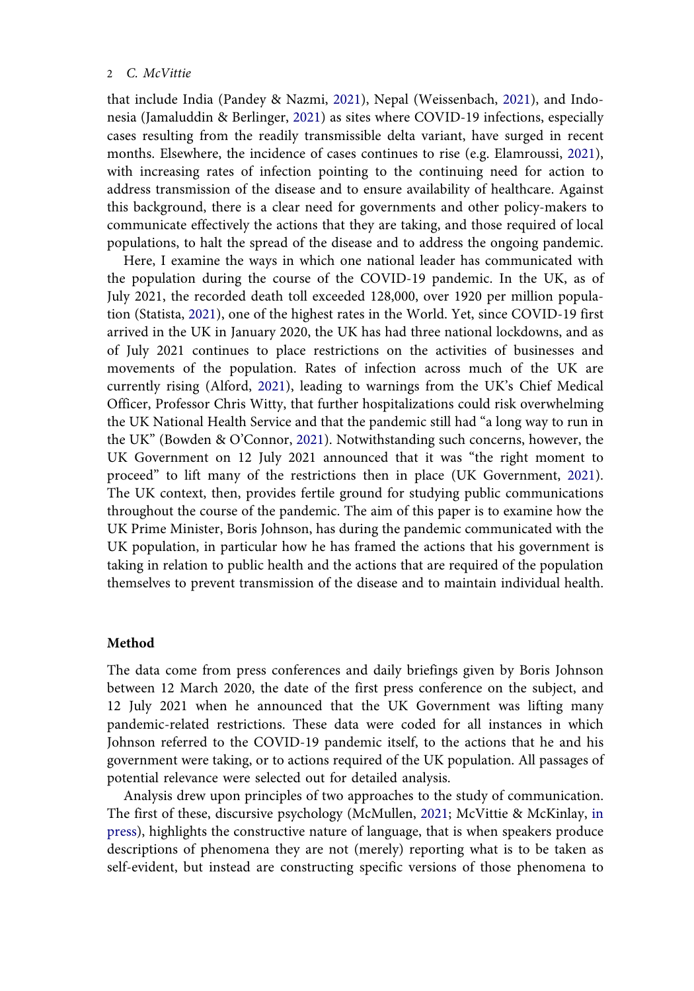#### 2 *C. McVittie*

<span id="page-2-5"></span><span id="page-2-3"></span><span id="page-2-2"></span>that include India (Pandey & Nazmi, [2021](#page-8-0)), Nepal (Weissenbach, [2021](#page-8-1)), and Indonesia (Jamaluddin & Berlinger, [2021\)](#page-7-1) as sites where COVID-19 infections, especially cases resulting from the readily transmissible delta variant, have surged in recent months. Elsewhere, the incidence of cases continues to rise (e.g. Elamroussi, [2021](#page-7-2)), with increasing rates of infection pointing to the continuing need for action to address transmission of the disease and to ensure availability of healthcare. Against this background, there is a clear need for governments and other policy-makers to communicate effectively the actions that they are taking, and those required of local populations, to halt the spread of the disease and to address the ongoing pandemic.

<span id="page-2-6"></span><span id="page-2-1"></span><span id="page-2-0"></span>Here, I examine the ways in which one national leader has communicated with the population during the course of the COVID-19 pandemic. In the UK, as of July 2021, the recorded death toll exceeded 128,000, over 1920 per million population (Statista, [2021](#page-8-2)), one of the highest rates in the World. Yet, since COVID-19 first arrived in the UK in January 2020, the UK has had three national lockdowns, and as of July 2021 continues to place restrictions on the activities of businesses and movements of the population. Rates of infection across much of the UK are currently rising (Alford, [2021](#page-7-3)), leading to warnings from the UK's Chief Medical Officer, Professor Chris Witty, that further hospitalizations could risk overwhelming the UK National Health Service and that the pandemic still had "a long way to run in the UK" (Bowden & O'Connor, [2021](#page-7-4)). Notwithstanding such concerns, however, the UK Government on 12 July 2021 announced that it was "the right moment to proceed" to lift many of the restrictions then in place (UK Government, [2021](#page-8-3)). The UK context, then, provides fertile ground for studying public communications throughout the course of the pandemic. The aim of this paper is to examine how the UK Prime Minister, Boris Johnson, has during the pandemic communicated with the UK population, in particular how he has framed the actions that his government is taking in relation to public health and the actions that are required of the population themselves to prevent transmission of the disease and to maintain individual health.

# <span id="page-2-7"></span>**Method**

The data come from press conferences and daily briefings given by Boris Johnson between 12 March 2020, the date of the first press conference on the subject, and 12 July 2021 when he announced that the UK Government was lifting many pandemic-related restrictions. These data were coded for all instances in which Johnson referred to the COVID-19 pandemic itself, to the actions that he and his government were taking, or to actions required of the UK population. All passages of potential relevance were selected out for detailed analysis.

<span id="page-2-4"></span>Analysis drew upon principles of two approaches to the study of communication. The first of these, discursive psychology (McMullen, [2021;](#page-7-5) McVittie & McKinlay, [in](#page-7-6) [press](#page-7-6)), highlights the constructive nature of language, that is when speakers produce descriptions of phenomena they are not (merely) reporting what is to be taken as self-evident, but instead are constructing specific versions of those phenomena to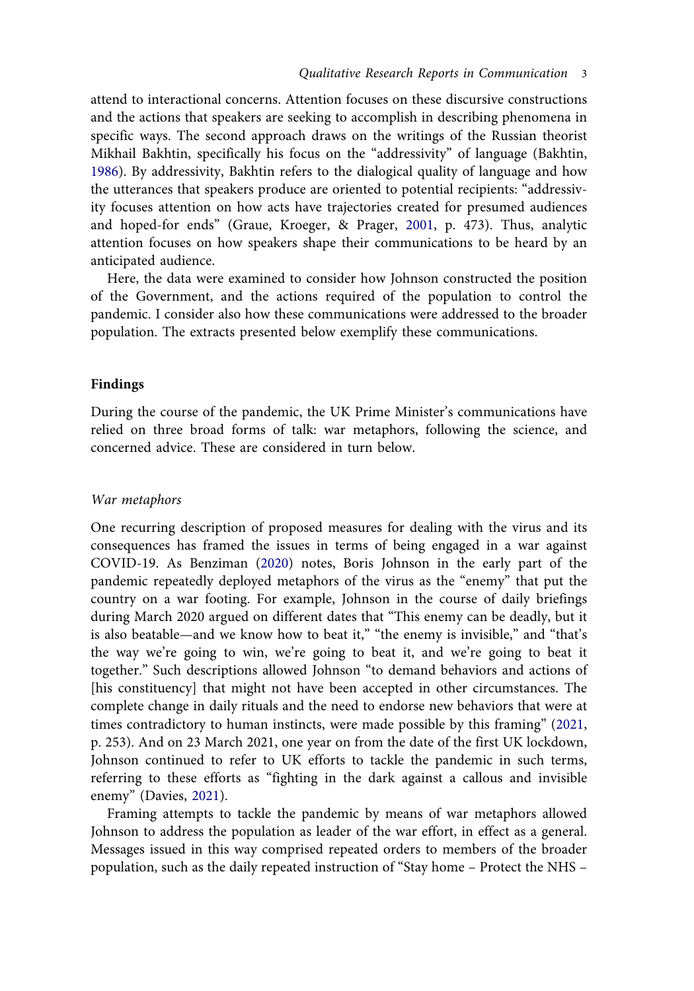<span id="page-3-0"></span>attend to interactional concerns. Attention focuses on these discursive constructions and the actions that speakers are seeking to accomplish in describing phenomena in specific ways. The second approach draws on the writings of the Russian theorist Mikhail Bakhtin, specifically his focus on the "addressivity" of language (Bakhtin, [1986\)](#page-7-7). By addressivity, Bakhtin refers to the dialogical quality of language and how the utterances that speakers produce are oriented to potential recipients: "addressivity focuses attention on how acts have trajectories created for presumed audiences and hoped-for ends" (Graue, Kroeger, & Prager, [2001,](#page-7-8) p. 473). Thus, analytic attention focuses on how speakers shape their communications to be heard by an anticipated audience.

<span id="page-3-3"></span>Here, the data were examined to consider how Johnson constructed the position of the Government, and the actions required of the population to control the pandemic. I consider also how these communications were addressed to the broader population. The extracts presented below exemplify these communications.

## **Findings**

During the course of the pandemic, the UK Prime Minister's communications have relied on three broad forms of talk: war metaphors, following the science, and concerned advice. These are considered in turn below.

#### *War metaphors*

<span id="page-3-1"></span>One recurring description of proposed measures for dealing with the virus and its consequences has framed the issues in terms of being engaged in a war against COVID-19. As Benziman [\(2020\)](#page-7-9) notes, Boris Johnson in the early part of the pandemic repeatedly deployed metaphors of the virus as the "enemy" that put the country on a war footing. For example, Johnson in the course of daily briefings during March 2020 argued on different dates that "This enemy can be deadly, but it is also beatable—and we know how to beat it," "the enemy is invisible," and "that's the way we're going to win, we're going to beat it, and we're going to beat it together." Such descriptions allowed Johnson "to demand behaviors and actions of [his constituency] that might not have been accepted in other circumstances. The complete change in daily rituals and the need to endorse new behaviors that were at times contradictory to human instincts, were made possible by this framing" ([2021,](#page-7-10) p. 253). And on 23 March 2021, one year on from the date of the first UK lockdown, Johnson continued to refer to UK efforts to tackle the pandemic in such terms, referring to these efforts as "fighting in the dark against a callous and invisible enemy" (Davies, [2021](#page-7-11)).

<span id="page-3-4"></span><span id="page-3-2"></span>Framing attempts to tackle the pandemic by means of war metaphors allowed Johnson to address the population as leader of the war effort, in effect as a general. Messages issued in this way comprised repeated orders to members of the broader population, such as the daily repeated instruction of "Stay home – Protect the NHS –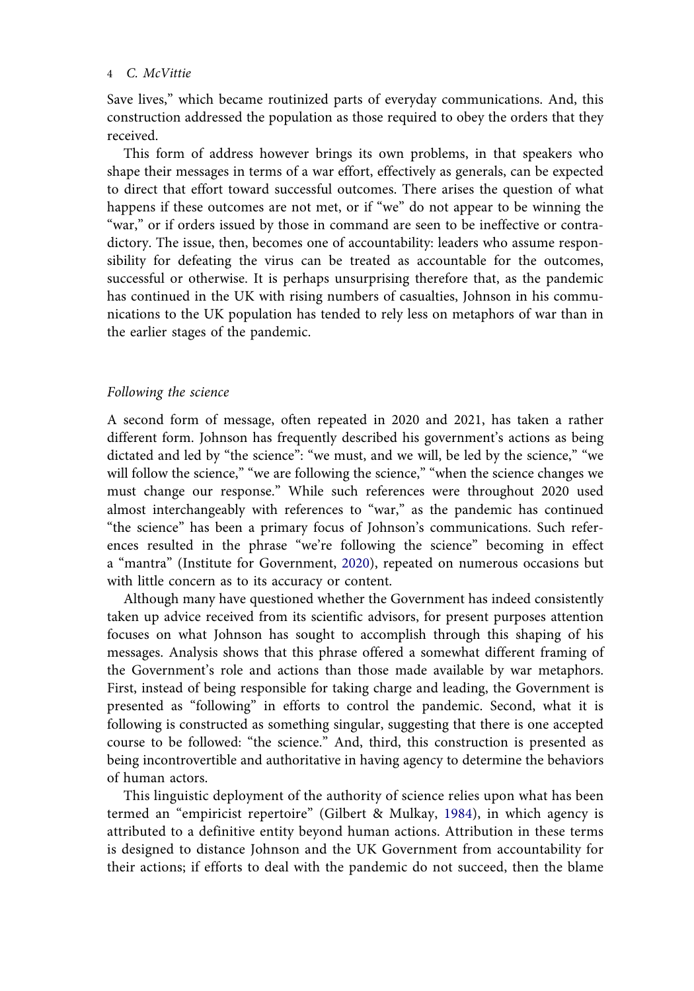#### 4 *C. McVittie*

Save lives," which became routinized parts of everyday communications. And, this construction addressed the population as those required to obey the orders that they received.

This form of address however brings its own problems, in that speakers who shape their messages in terms of a war effort, effectively as generals, can be expected to direct that effort toward successful outcomes. There arises the question of what happens if these outcomes are not met, or if "we" do not appear to be winning the "war," or if orders issued by those in command are seen to be ineffective or contradictory. The issue, then, becomes one of accountability: leaders who assume responsibility for defeating the virus can be treated as accountable for the outcomes, successful or otherwise. It is perhaps unsurprising therefore that, as the pandemic has continued in the UK with rising numbers of casualties, Johnson in his communications to the UK population has tended to rely less on metaphors of war than in the earlier stages of the pandemic.

#### *Following the science*

A second form of message, often repeated in 2020 and 2021, has taken a rather different form. Johnson has frequently described his government's actions as being dictated and led by "the science": "we must, and we will, be led by the science," "we will follow the science," "we are following the science," "when the science changes we must change our response." While such references were throughout 2020 used almost interchangeably with references to "war," as the pandemic has continued "the science" has been a primary focus of Johnson's communications. Such references resulted in the phrase "we're following the science" becoming in effect a "mantra" (Institute for Government, [2020](#page-7-12)), repeated on numerous occasions but with little concern as to its accuracy or content.

<span id="page-4-1"></span>Although many have questioned whether the Government has indeed consistently taken up advice received from its scientific advisors, for present purposes attention focuses on what Johnson has sought to accomplish through this shaping of his messages. Analysis shows that this phrase offered a somewhat different framing of the Government's role and actions than those made available by war metaphors. First, instead of being responsible for taking charge and leading, the Government is presented as "following" in efforts to control the pandemic. Second, what it is following is constructed as something singular, suggesting that there is one accepted course to be followed: "the science." And, third, this construction is presented as being incontrovertible and authoritative in having agency to determine the behaviors of human actors.

<span id="page-4-0"></span>This linguistic deployment of the authority of science relies upon what has been termed an "empiricist repertoire" (Gilbert & Mulkay, [1984\)](#page-7-13), in which agency is attributed to a definitive entity beyond human actions. Attribution in these terms is designed to distance Johnson and the UK Government from accountability for their actions; if efforts to deal with the pandemic do not succeed, then the blame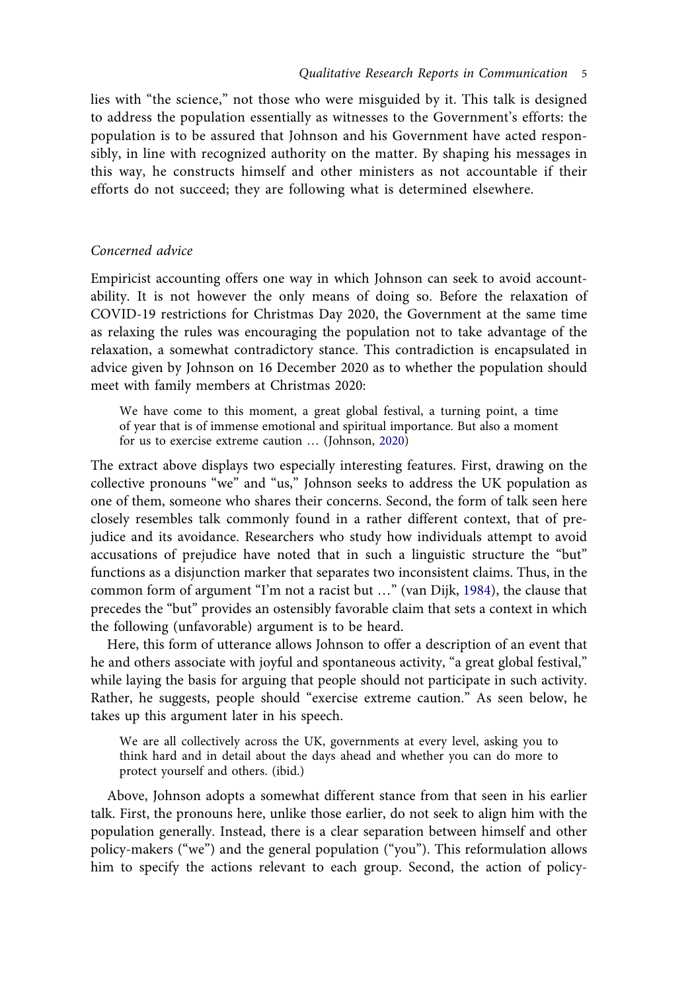lies with "the science," not those who were misguided by it. This talk is designed to address the population essentially as witnesses to the Government's efforts: the population is to be assured that Johnson and his Government have acted responsibly, in line with recognized authority on the matter. By shaping his messages in this way, he constructs himself and other ministers as not accountable if their efforts do not succeed; they are following what is determined elsewhere.

## *Concerned advice*

Empiricist accounting offers one way in which Johnson can seek to avoid accountability. It is not however the only means of doing so. Before the relaxation of COVID-19 restrictions for Christmas Day 2020, the Government at the same time as relaxing the rules was encouraging the population not to take advantage of the relaxation, a somewhat contradictory stance. This contradiction is encapsulated in advice given by Johnson on 16 December 2020 as to whether the population should meet with family members at Christmas 2020:

<span id="page-5-0"></span>We have come to this moment, a great global festival, a turning point, a time of year that is of immense emotional and spiritual importance. But also a moment for us to exercise extreme caution … (Johnson, [2020\)](#page-7-14)

The extract above displays two especially interesting features. First, drawing on the collective pronouns "we" and "us," Johnson seeks to address the UK population as one of them, someone who shares their concerns. Second, the form of talk seen here closely resembles talk commonly found in a rather different context, that of prejudice and its avoidance. Researchers who study how individuals attempt to avoid accusations of prejudice have noted that in such a linguistic structure the "but" functions as a disjunction marker that separates two inconsistent claims. Thus, in the common form of argument "I'm not a racist but …" (van Dijk, [1984\)](#page-8-4), the clause that precedes the "but" provides an ostensibly favorable claim that sets a context in which the following (unfavorable) argument is to be heard.

<span id="page-5-1"></span>Here, this form of utterance allows Johnson to offer a description of an event that he and others associate with joyful and spontaneous activity, "a great global festival," while laying the basis for arguing that people should not participate in such activity. Rather, he suggests, people should "exercise extreme caution." As seen below, he takes up this argument later in his speech.

We are all collectively across the UK, governments at every level, asking you to think hard and in detail about the days ahead and whether you can do more to protect yourself and others. (ibid.)

Above, Johnson adopts a somewhat different stance from that seen in his earlier talk. First, the pronouns here, unlike those earlier, do not seek to align him with the population generally. Instead, there is a clear separation between himself and other policy-makers ("we") and the general population ("you"). This reformulation allows him to specify the actions relevant to each group. Second, the action of policy-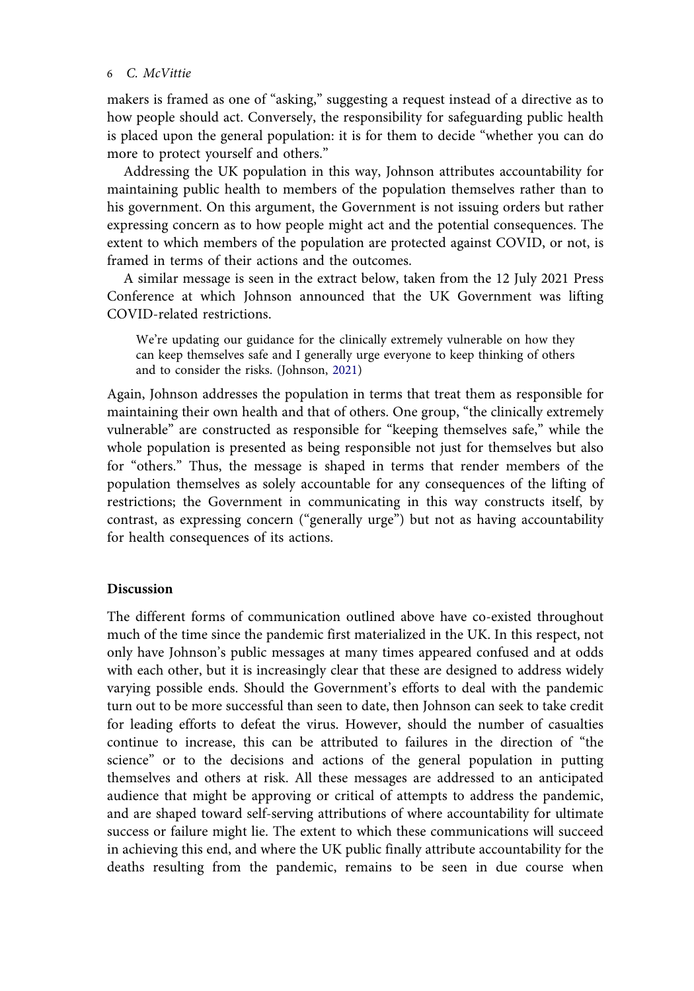### 6 *C. McVittie*

makers is framed as one of "asking," suggesting a request instead of a directive as to how people should act. Conversely, the responsibility for safeguarding public health is placed upon the general population: it is for them to decide "whether you can do more to protect yourself and others."

Addressing the UK population in this way, Johnson attributes accountability for maintaining public health to members of the population themselves rather than to his government. On this argument, the Government is not issuing orders but rather expressing concern as to how people might act and the potential consequences. The extent to which members of the population are protected against COVID, or not, is framed in terms of their actions and the outcomes.

A similar message is seen in the extract below, taken from the 12 July 2021 Press Conference at which Johnson announced that the UK Government was lifting COVID-related restrictions.

We're updating our guidance for the clinically extremely vulnerable on how they can keep themselves safe and I generally urge everyone to keep thinking of others and to consider the risks. (Johnson, [2021\)](#page-7-10)

Again, Johnson addresses the population in terms that treat them as responsible for maintaining their own health and that of others. One group, "the clinically extremely vulnerable" are constructed as responsible for "keeping themselves safe," while the whole population is presented as being responsible not just for themselves but also for "others." Thus, the message is shaped in terms that render members of the population themselves as solely accountable for any consequences of the lifting of restrictions; the Government in communicating in this way constructs itself, by contrast, as expressing concern ("generally urge") but not as having accountability for health consequences of its actions.

# **Discussion**

The different forms of communication outlined above have co-existed throughout much of the time since the pandemic first materialized in the UK. In this respect, not only have Johnson's public messages at many times appeared confused and at odds with each other, but it is increasingly clear that these are designed to address widely varying possible ends. Should the Government's efforts to deal with the pandemic turn out to be more successful than seen to date, then Johnson can seek to take credit for leading efforts to defeat the virus. However, should the number of casualties continue to increase, this can be attributed to failures in the direction of "the science" or to the decisions and actions of the general population in putting themselves and others at risk. All these messages are addressed to an anticipated audience that might be approving or critical of attempts to address the pandemic, and are shaped toward self-serving attributions of where accountability for ultimate success or failure might lie. The extent to which these communications will succeed in achieving this end, and where the UK public finally attribute accountability for the deaths resulting from the pandemic, remains to be seen in due course when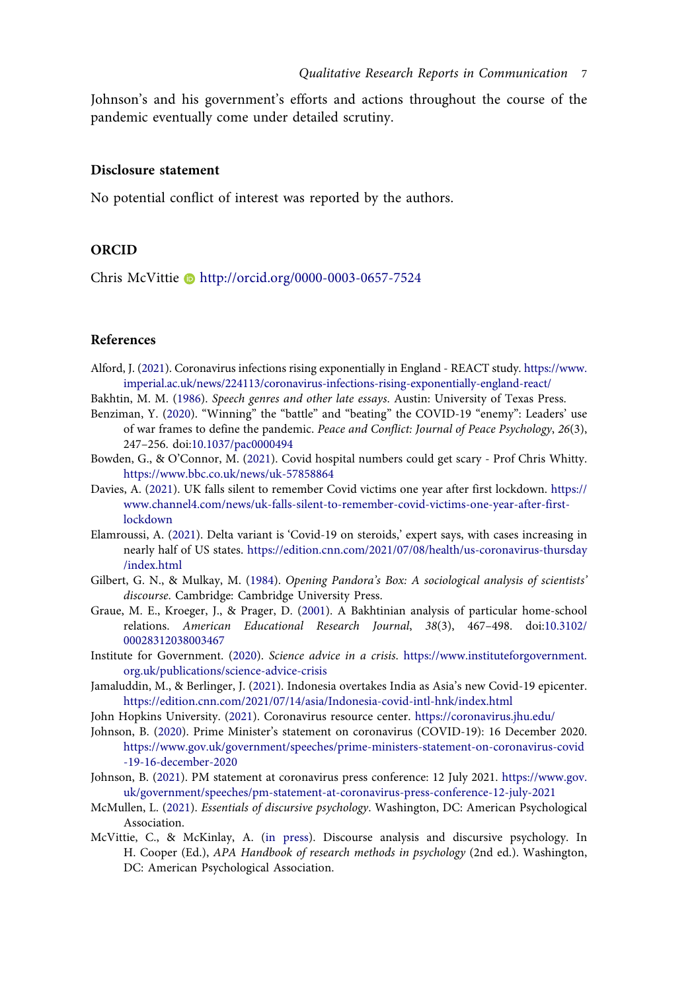Johnson's and his government's efforts and actions throughout the course of the pandemic eventually come under detailed scrutiny.

#### **Disclosure statement**

No potential conflict of interest was reported by the authors.

# **ORCID**

Chris McVittie http://orcid.org/0000-0003-0657-7524

#### **References**

- <span id="page-7-3"></span>Alford, J. ([2021\)](#page-2-0). Coronavirus infections rising exponentially in England - REACT study. [https://www.](https://www.imperial.ac.uk/news/224113/coronavirus-infections-rising-exponentially-england-react/) [imperial.ac.uk/news/224113/coronavirus-infections-rising-exponentially-england-react/](https://www.imperial.ac.uk/news/224113/coronavirus-infections-rising-exponentially-england-react/)
- <span id="page-7-7"></span>Bakhtin, M. M. ([1986\)](#page-3-0). *Speech genres and other late essays*. Austin: University of Texas Press.
- <span id="page-7-9"></span>Benziman, Y. [\(2020](#page-3-1)). "Winning" the "battle" and "beating" the COVID-19 "enemy": Leaders' use of war frames to define the pandemic. *Peace and Conflict: Journal of Peace Psychology*, *26*(3), 247–256. doi:[10.1037/pac0000494](https://doi.org/10.1037/pac0000494)
- <span id="page-7-4"></span>Bowden, G., & O'Connor, M. [\(2021\)](#page-2-1). Covid hospital numbers could get scary - Prof Chris Whitty. <https://www.bbc.co.uk/news/uk-57858864>
- <span id="page-7-11"></span>Davies, A. [\(2021\)](#page-3-2). UK falls silent to remember Covid victims one year after first lockdown. [https://](https://www.channel4.com/news/uk-falls-silent-to-remember-covid-victims-one-year-after-first-lockdown) [www.channel4.com/news/uk-falls-silent-to-remember-covid-victims-one-year-after-first](https://www.channel4.com/news/uk-falls-silent-to-remember-covid-victims-one-year-after-first-lockdown)[lockdown](https://www.channel4.com/news/uk-falls-silent-to-remember-covid-victims-one-year-after-first-lockdown)
- <span id="page-7-2"></span>Elamroussi, A. [\(2021](#page-2-2)). Delta variant is 'Covid-19 on steroids,' expert says, with cases increasing in nearly half of US states. [https://edition.cnn.com/2021/07/08/health/us-coronavirus-thursday](https://edition.cnn.com/2021/07/08/health/us-coronavirus-thursday/index.html) [/index.html](https://edition.cnn.com/2021/07/08/health/us-coronavirus-thursday/index.html)
- <span id="page-7-13"></span>Gilbert, G. N., & Mulkay, M. ([1984\)](#page-4-0). *Opening Pandora's Box: A sociological analysis of scientists' discourse*. Cambridge: Cambridge University Press.
- <span id="page-7-8"></span>Graue, M. E., Kroeger, J., & Prager, D. [\(2001\)](#page-3-3). A Bakhtinian analysis of particular home-school relations. *American Educational Research Journal*, *38*(3), 467–498. doi:[10.3102/](https://doi.org/10.3102/00028312038003467) [00028312038003467](https://doi.org/10.3102/00028312038003467)
- <span id="page-7-12"></span>Institute for Government. [\(2020](#page-4-1)). *Science advice in a crisis*. [https://www.instituteforgovernment.](https://www.instituteforgovernment.org.uk/publications/science-advice-crisis) [org.uk/publications/science-advice-crisis](https://www.instituteforgovernment.org.uk/publications/science-advice-crisis)
- <span id="page-7-1"></span>Jamaluddin, M., & Berlinger, J. ([2021\)](#page-2-3). Indonesia overtakes India as Asia's new Covid-19 epicenter. <https://edition.cnn.com/2021/07/14/asia/Indonesia-covid-intl-hnk/index.html>
- <span id="page-7-0"></span>John Hopkins University. [\(2021\)](#page-1-0). Coronavirus resource center. <https://coronavirus.jhu.edu/>
- <span id="page-7-14"></span>Johnson, B. ([2020](#page-5-0)). Prime Minister's statement on coronavirus (COVID-19): 16 December 2020. [https://www.gov.uk/government/speeches/prime-ministers-statement-on-coronavirus-covid](https://www.gov.uk/government/speeches/prime-ministers-statement-on-coronavirus-covid-19-16-december-2020) [-19-16-december-2020](https://www.gov.uk/government/speeches/prime-ministers-statement-on-coronavirus-covid-19-16-december-2020)
- <span id="page-7-10"></span>Johnson, B. ([2021](#page-3-4)). PM statement at coronavirus press conference: 12 July 2021. [https://www.gov.](https://www.gov.uk/government/speeches/pm-statement-at-coronavirus-press-conference-12-july-2021) [uk/government/speeches/pm-statement-at-coronavirus-press-conference-12-july-2021](https://www.gov.uk/government/speeches/pm-statement-at-coronavirus-press-conference-12-july-2021)
- <span id="page-7-5"></span>McMullen, L. ([2021](#page-2-4)). *Essentials of discursive psychology*. Washington, DC: American Psychological Association.
- <span id="page-7-6"></span>McVittie, C., & McKinlay, A. ([in press](#page-2-4)). Discourse analysis and discursive psychology. In H. Cooper (Ed.), *APA Handbook of research methods in psychology* (2nd ed.). Washington, DC: American Psychological Association.